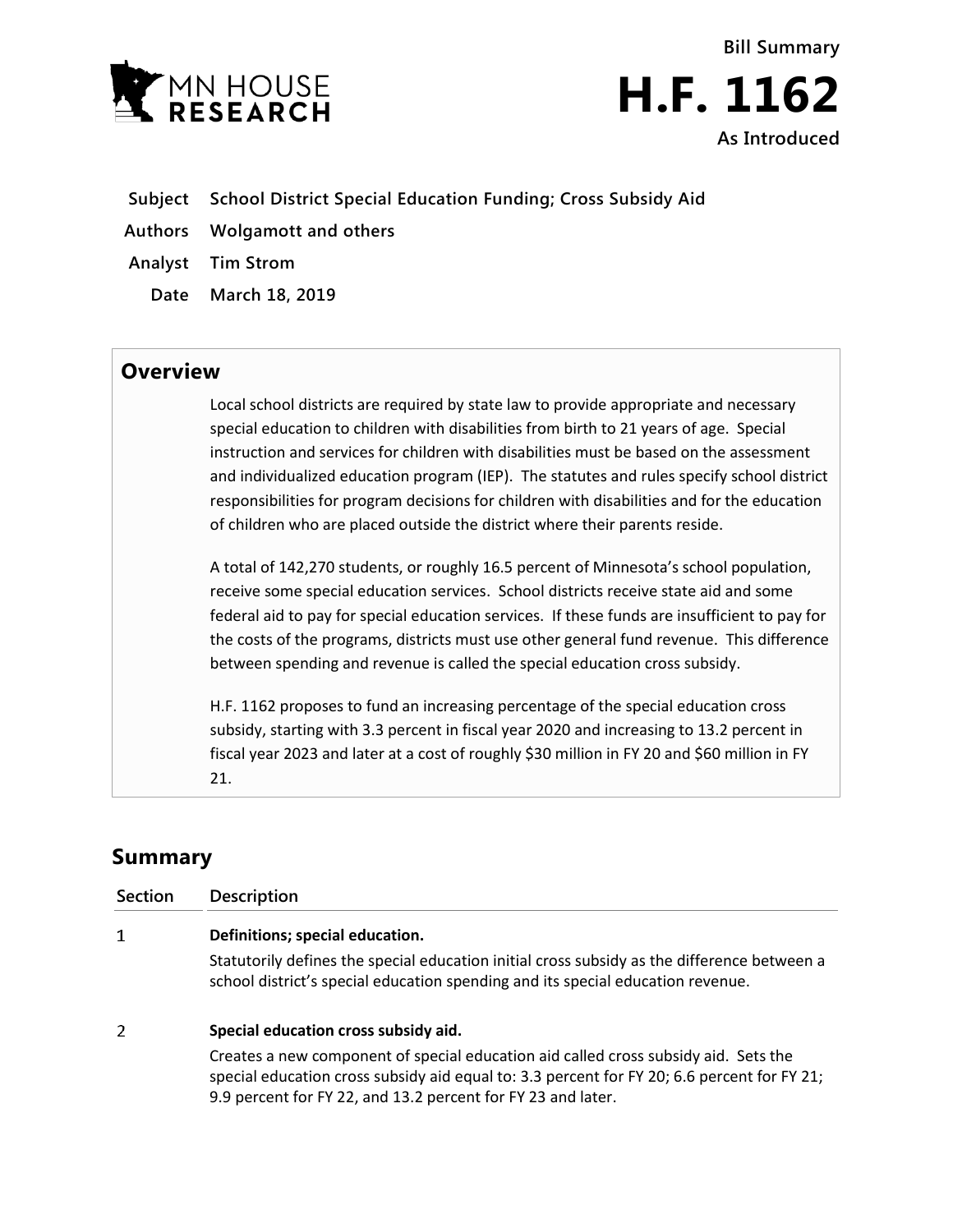



- **Subject School District Special Education Funding; Cross Subsidy Aid**
- **Authors Wolgamott and others**
- **Analyst Tim Strom**
	- **Date March 18, 2019**

## **Overview**

Local school districts are required by state law to provide appropriate and necessary special education to children with disabilities from birth to 21 years of age. Special instruction and services for children with disabilities must be based on the assessment and individualized education program (IEP). The statutes and rules specify school district responsibilities for program decisions for children with disabilities and for the education of children who are placed outside the district where their parents reside.

A total of 142,270 students, or roughly 16.5 percent of Minnesota's school population, receive some special education services. School districts receive state aid and some federal aid to pay for special education services. If these funds are insufficient to pay for the costs of the programs, districts must use other general fund revenue. This difference between spending and revenue is called the special education cross subsidy.

H.F. 1162 proposes to fund an increasing percentage of the special education cross subsidy, starting with 3.3 percent in fiscal year 2020 and increasing to 13.2 percent in fiscal year 2023 and later at a cost of roughly \$30 million in FY 20 and \$60 million in FY 21.

## **Summary**

| <b>Section</b> | <b>Description</b>                                                                                                                                                             |
|----------------|--------------------------------------------------------------------------------------------------------------------------------------------------------------------------------|
|                | Definitions; special education.                                                                                                                                                |
|                | Statutorily defines the special education initial cross subsidy as the difference between a<br>school district's special education spending and its special education revenue. |
| 2              | Special education cross subsidy aid.                                                                                                                                           |
|                | Creates a new component of special education aid called cross subsidy aid. Sets the                                                                                            |

special education cross subsidy aid equal to: 3.3 percent for FY 20; 6.6 percent for FY 21; 9.9 percent for FY 22, and 13.2 percent for FY 23 and later.